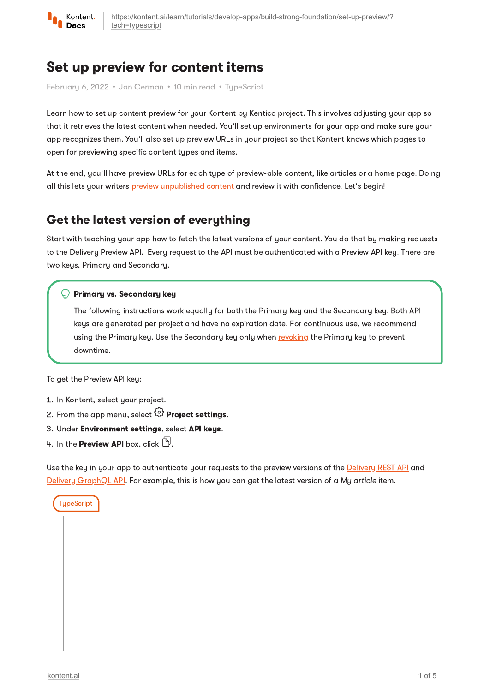

# Set up preview for content items

Februaru 6, 2022 • Jan Cerman • 10 min read • TupeScript

Learn how to set up content preview for your Kontent by Kentico project. This involves adjusting your app so that it retrieves the latest content when needed. You'll set up environments for your app and make sure your app recognizes them. You'll also set up preview URLs in your project so that Kontent knows which pages to open for previewing specific content types and items.

At the end, you'll have preview URLs for each type of preview-able content, like articles or a home page. Doing all this lets your writers preview [unpublished](https://kontent.ai/learn/tutorials/write-and-collaborate/preview-your-content/) content and review it with confidence. Let's begin!

# Get the latest version of everything

Start with teaching your app how to fetch the latest versions of your content. You do that by making requests to the Delivery Preview API. Every request to the API must be authenticated with a Preview API key. There are two keys, Primary and Secondary.

#### Primary vs. Secondary key

The following instructions work equally for both the Primary key and the Secondary key. Both API keys are generated per project and have no expiration date. For continuous use, we recommend using the Primary key. Use the Secondary key only when [revoking](https://kontent.ai/learn/tutorials/develop-apps/build-strong-foundation/restrict-public-access/#a-revoke-the-api-keys) the Primary key to prevent downtime.

- 1. In Kontent, select your project.
- 2. From the app menu, select  $\widehat{\mathbb{C}}^3$  Proiect settings. To get the Preview API key:<br>1. In Kontent, select your project.<br>2. From the app menu, select ۞ **P**<br>3. Under **Environment settings**, se<br>4. In the **Preview API** box. click <u>P</u>
- 3. Under Environment settings, select API keys.
- 4. In the **Preview API** box, click  $\mathbb{D}$ .

Use the key in your app to authenticate your requests to the preview versions of the [Delivery](https://kontent.ai/learn/reference/delivery-api/#section/Production-vs.-Preview) REST API and Delivery [GraphQL](https://kontent.ai/learn/reference/delivery-graphql-api/#a-preview-content) API. For example, this is how you can get the latest version of a My article item.

### **TypeScript**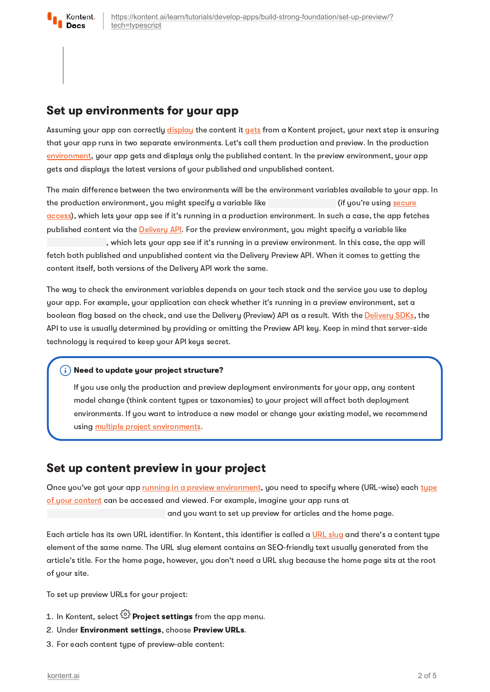## <span id="page-1-0"></span>Set up environments for your app

Assuming your app can correctly [display](https://kontent.ai/learn/tutorials/develop-apps/get-content/structured-rich-text/) the content it [gets](https://kontent.ai/learn/tutorials/develop-apps/get-content/get-content-items/) from a Kontent project, your next step is ensuring that your app runs in two separate environments. Let's call them production and preview. In the production [environment,](https://kontent.ai/learn/tutorials/manage-kontent/projects/manage-environments/) your app gets and displays only the published content. In the preview environment, your app gets and displays the latest versions of your published and unpublished content.

The main difference between the two environments will be the environment variables available to your app. In the production environment, you might specify a variable like (if you're using secure access), which lets your app see if it's running in a production [environment.](https://kontent.ai/learn/tutorials/develop-apps/build-strong-foundation/restrict-public-access/) In such a case, the app fetches published content via the [Delivery](https://kontent.ai/learn/reference/delivery-api/) API. For the preview environment, you might specify a variable like

, which lets your app see if it's running in a preview environment. In this case, the app will fetch both published and unpublished content via the Delivery Preview API. When it comes to getting the content itself, both versions of the Delivery API work the same.

The way to check the environment variables depends on your tech stack and the service you use to deploy your app. For example, your application can check whether it's running in a preview environment, set a boolean flag based on the check, and use the [Delivery](https://kontent.ai/learn/tutorials/develop-apps/overview/?tech=typescript) (Preview) API as a result. With the Delivery SDKs, the API to use is usually determined by providing or omitting the Preview API key. Keep in mind that server-side technology is required to keep your API keys secret.

### $(i)$  Need to update your project structure?

If you use only the production and preview deployment environments for your app, any content model change (think content types or taxonomies) to your project will affect both deployment environments. If you want to introduce a new model or change your existing model, we recommend using multiple project [environments.](https://kontent.ai/learn/tutorials/manage-kontent/projects/manage-environments/)

# <span id="page-1-1"></span>Set up content preview in your project

Once you've got your app running in a preview [environmen](#page-1-0)[t,](https://kontent.ai/learn/tutorials/set-up-kontent/content-modeling/what-is-content-modeling/) you need to specify where (URL-wise) each type of your content can be accessed and viewed. For example, imagine your app runs at

and you want to set up preview for articles and the home page.

Each article has its own URL identifier. In Kontent, this identifier is called a URL [slug](https://kontent.ai/learn/tutorials/develop-apps/optimize-your-app/seo-friendly-urls/) and there's a content type element of the same name. The URL slug element contains an SEO-friendly text usually generated from the article's title. For the home page, however, you don't need a URL slug because the home page sits at the root of your site.

To set up preview URLs for your project:

- 1. In Kontent, select  $\overset{\text{\rm (G)}}{\sim}$  Proiect settinas from the app menu.
- 2. Under Environment settings, choose Preview URLs.
- 3. For each content type of preview-able content: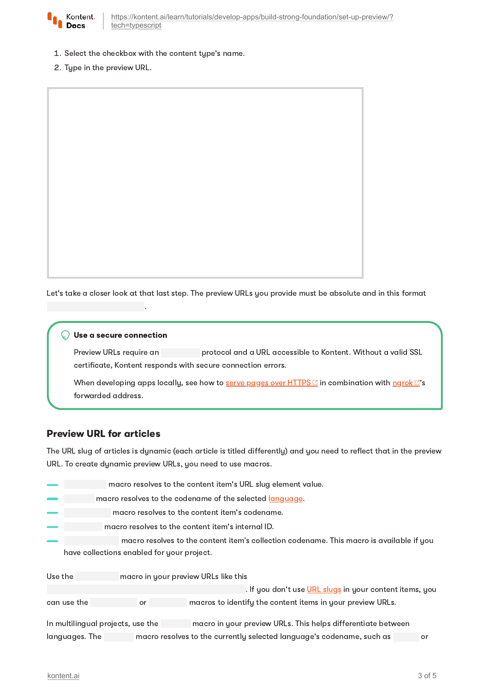

- 1. Select the checkbox with the content type's name.
- 2. Type in the preview URL.

Let's take a closer look at that last step. The preview URLs you provide must be absolute and in this format

#### Use a secure connection

.

Preview URLs require an protocol and a URL accessible to Kontent. Without a valid SSL certificate, Kontent responds with secure connection errors.

When developing apps locally, see how to serve pages over [HTTPS](https://create-react-app.dev/docs/using-https-in-development/)  $\mathbb G$  in combination with [ngrok](https://ngrok.com/docs)  $\mathbb G$ 's forwarded address.

### Preview URL for articles

The URL slug of articles is dynamic (each article is titled differently) and you need to reflect that in the preview URL. To create dynamic preview URLs, you need to use macros.

|         | macro resolves to the content item's URL slug element value.                             |  |  |  |  |
|---------|------------------------------------------------------------------------------------------|--|--|--|--|
|         | macro resolves to the codename of the selected <i>language</i> .                         |  |  |  |  |
|         | macro resolves to the content item's codename.                                           |  |  |  |  |
|         | macro resolves to the content item's internal ID.                                        |  |  |  |  |
|         | macro resolves to the content item's collection codename. This macro is available if you |  |  |  |  |
|         | have collections enabled for your project.                                               |  |  |  |  |
|         |                                                                                          |  |  |  |  |
| Use the | macro in your preview URLs like this                                                     |  |  |  |  |
|         | . If you don't use URL slugs in your content items, you                                  |  |  |  |  |
|         | macros to identify the content items in your preview URLs.<br>can use the<br>or          |  |  |  |  |

In multilingual projects, use the macro in your preview URLs. This helps differentiate between languages. The macro resolves to the currently selected language's codename, such as or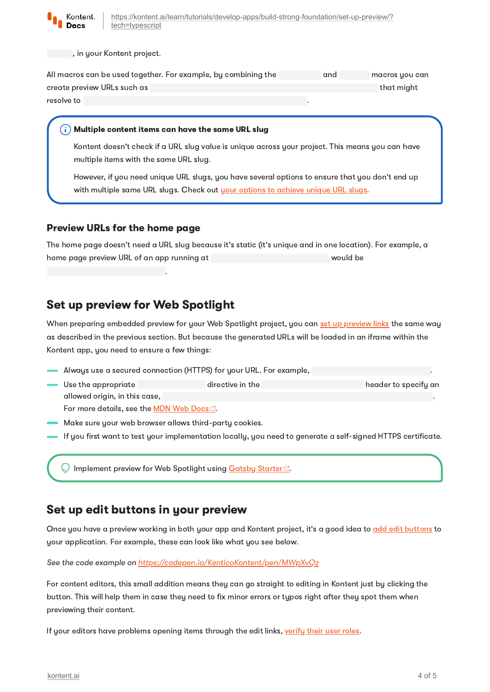

[https://kontent.ai/learn/tutorials/develop-apps/build-strong-foundation/set-up-preview/?](https://kontent.ai/learn/tutorials/develop-apps/build-strong-foundation/set-up-preview/?tech=typescript) tech=typescript

, in your Kontent project.

| All macros can be used together. For example, by combining the | and | macros you can |
|----------------------------------------------------------------|-----|----------------|
| create preview URLs such as                                    |     | that might     |
| resolve to                                                     |     |                |

#### $(i)$  Multiple content items can have the same URL slug

.

Kontent doesn't check if a URL slug value is unique across your project. This means you can have multiple items with the same URL slug.

However, if you need unique URL slugs, you have several options to ensure that you don't end up with multiple same URL slugs. Check out your options to [achieve](https://kontent.ai/learn/tutorials/develop-apps/optimize-your-app/seo-friendly-urls/#a-in-need-of-unique-url-slugs-) unique URL slugs.

#### Preview URLs for the home page

The home page doesn't need a URL slug because it's static (it's unique and in one location). For example, a home page preview URL of an app running at would be

### Set up preview for Web Spotlight

When preparing embedded [preview](#page-1-1) for your Web Spotlight project, you can set up preview links the same way as described in the previous section. But because the generated URLs will be loaded in an iframe within the Kontent app, you need to ensure a few things:

|                                                         | Always use a secured connection (HTTPS) for your URL. For example, |                      |
|---------------------------------------------------------|--------------------------------------------------------------------|----------------------|
| Use the appropriate                                     | directive in the                                                   | header to specify an |
| allowed origin, in this case,                           |                                                                    |                      |
| For more details, see the $MDN$ Web Docs $\mathbb{Z}$ . |                                                                    |                      |

- Make sure your web browser allows third-party cookies.
- If you first want to test your implementation locally, you need to generate a self-signed HTTPS certificate.

**Q** Implement preview for Web Spotlight using [Gatsby](https://github.com/Kentico/gatsby-starter-kontent-lumen/blob/master/docs/WEB-SPOTLIGHT.md#implementing-web-spotlight) Starter  $\mathbb{E}.$ 

### Set up edit buttons in your preview

Once you have a preview working in both your app and Kontent project, it's a good idea to add edit [buttons](https://kontent.ai/learn/tutorials/develop-apps/build-strong-foundation/set-up-editing-from-preview/) to your application. For example, these can look like what you see below.

See the code example on <https://codepen.io/KenticoKontent/pen/MWpXvQz>

For content editors, this small addition means they can go straight to editing in Kontent just by clicking the button. This will help them in case they need to fix minor errors or typos right after they spot them when previewing their content.

If your editors have problems opening items through the edit links, [verify](https://kontent.ai/learn/tutorials/manage-kontent/roles-and-workflow/configure-and-assign-roles/) their user roles.